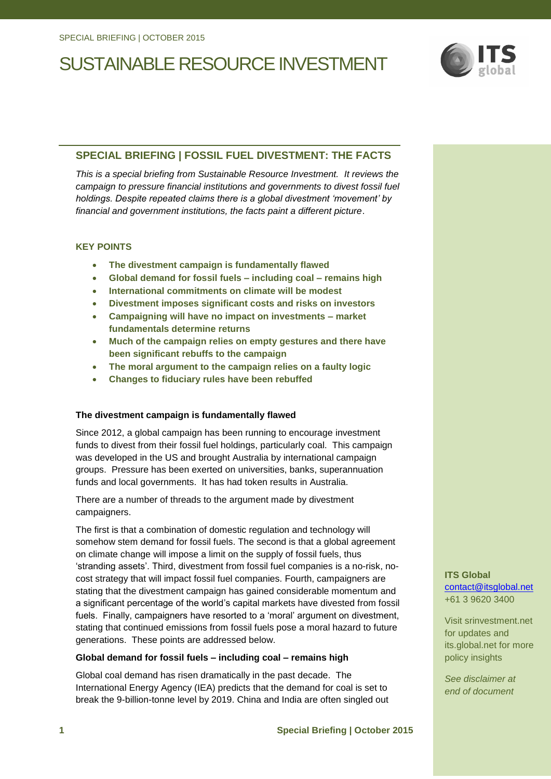

### **SPECIAL BRIEFING | FOSSIL FUEL DIVESTMENT: THE FACTS**

*This is a special briefing from Sustainable Resource Investment. It reviews the campaign to pressure financial institutions and governments to divest fossil fuel holdings. Despite repeated claims there is a global divestment 'movement' by financial and government institutions, the facts paint a different picture*.

#### **KEY POINTS**

- **The divestment campaign is fundamentally flawed**
- **Global demand for fossil fuels – including coal – remains high**
- **International commitments on climate will be modest**
- **Divestment imposes significant costs and risks on investors**
- **Campaigning will have no impact on investments – market fundamentals determine returns**
- **Much of the campaign relies on empty gestures and there have been significant rebuffs to the campaign**
- **The moral argument to the campaign relies on a faulty logic**
- **Changes to fiduciary rules have been rebuffed**

### **The divestment campaign is fundamentally flawed**

Since 2012, a global campaign has been running to encourage investment funds to divest from their fossil fuel holdings, particularly coal. This campaign was developed in the US and brought Australia by international campaign groups. Pressure has been exerted on universities, banks, superannuation funds and local governments. It has had token results in Australia.

There are a number of threads to the argument made by divestment campaigners.

The first is that a combination of domestic regulation and technology will somehow stem demand for fossil fuels. The second is that a global agreement on climate change will impose a limit on the supply of fossil fuels, thus 'stranding assets'. Third, divestment from fossil fuel companies is a no-risk, nocost strategy that will impact fossil fuel companies. Fourth, campaigners are stating that the divestment campaign has gained considerable momentum and a significant percentage of the world's capital markets have divested from fossil fuels. Finally, campaigners have resorted to a 'moral' argument on divestment, stating that continued emissions from fossil fuels pose a moral hazard to future generations. These points are addressed below.

#### **Global demand for fossil fuels – including coal – remains high**

Global coal demand has risen dramatically in the past decade. The International Energy Agency (IEA) predicts that the demand for coal is set to break the 9-billion-tonne level by 2019. China and India are often singled out **ITS Global** [contact@itsglobal.net](mailto:contact@itsglobal.net) +61 3 9620 3400

Visit srinvestment.net for updates and its.global.net for more policy insights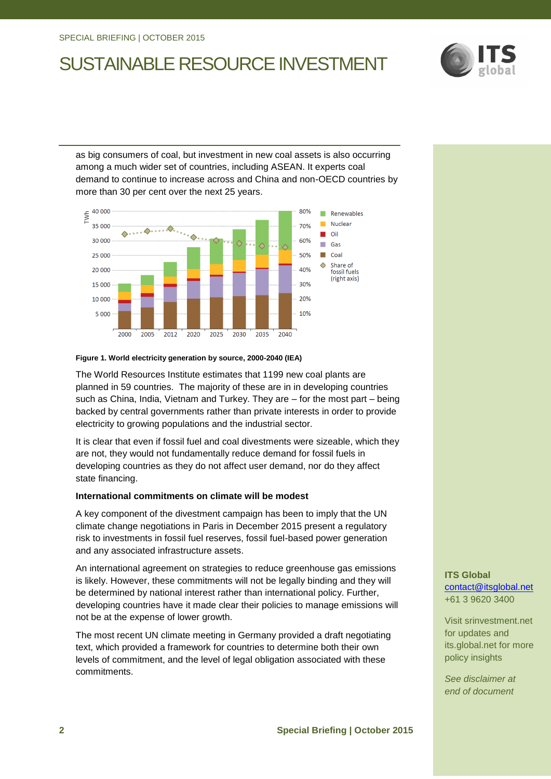

as big consumers of coal, but investment in new coal assets is also occurring among a much wider set of countries, including ASEAN. It experts coal demand to continue to increase across and China and non-OECD countries by more than 30 per cent over the next 25 years.



#### **Figure 1. World electricity generation by source, 2000-2040 (IEA)**

The World Resources Institute estimates that 1199 new coal plants are planned in 59 countries. The majority of these are in in developing countries such as China, India, Vietnam and Turkey. They are – for the most part – being backed by central governments rather than private interests in order to provide electricity to growing populations and the industrial sector.

It is clear that even if fossil fuel and coal divestments were sizeable, which they are not, they would not fundamentally reduce demand for fossil fuels in developing countries as they do not affect user demand, nor do they affect state financing.

#### **International commitments on climate will be modest**

A key component of the divestment campaign has been to imply that the UN climate change negotiations in Paris in December 2015 present a regulatory risk to investments in fossil fuel reserves, fossil fuel-based power generation and any associated infrastructure assets.

An international agreement on strategies to reduce greenhouse gas emissions is likely. However, these commitments will not be legally binding and they will be determined by national interest rather than international policy. Further, developing countries have it made clear their policies to manage emissions will not be at the expense of lower growth.

The most recent UN climate meeting in Germany provided a draft negotiating text, which provided a framework for countries to determine both their own levels of commitment, and the level of legal obligation associated with these commitments.

**ITS Global** [contact@itsglobal.net](mailto:contact@itsglobal.net) +61 3 9620 3400

Visit srinvestment.net for updates and its.global.net for more policy insights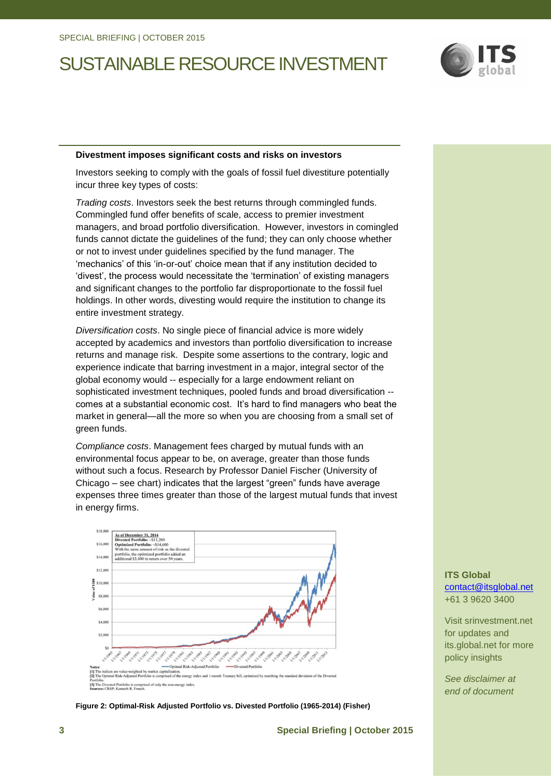

#### **Divestment imposes significant costs and risks on investors**

Investors seeking to comply with the goals of fossil fuel divestiture potentially incur three key types of costs:

*Trading costs*. Investors seek the best returns through commingled funds. Commingled fund offer benefits of scale, access to premier investment managers, and broad portfolio diversification. However, investors in comingled funds cannot dictate the guidelines of the fund; they can only choose whether or not to invest under guidelines specified by the fund manager. The 'mechanics' of this 'in-or-out' choice mean that if any institution decided to 'divest', the process would necessitate the 'termination' of existing managers and significant changes to the portfolio far disproportionate to the fossil fuel holdings. In other words, divesting would require the institution to change its entire investment strategy.

*Diversification costs*. No single piece of financial advice is more widely accepted by academics and investors than portfolio diversification to increase returns and manage risk. Despite some assertions to the contrary, logic and experience indicate that barring investment in a major, integral sector of the global economy would -- especially for a large endowment reliant on sophisticated investment techniques, pooled funds and broad diversification - comes at a substantial economic cost. It's hard to find managers who beat the market in general—all the more so when you are choosing from a small set of green funds.

*Compliance costs*. Management fees charged by mutual funds with an environmental focus appear to be, on average, greater than those funds without such a focus. Research by Professor Daniel Fischer (University of Chicago – see chart) indicates that the largest "green" funds have average expenses three times greater than those of the largest mutual funds that invest in energy firms.



**Figure 2: Optimal-Risk Adjusted Portfolio vs. Divested Portfolio (1965-2014) (Fisher)**

**ITS Global** [contact@itsglobal.net](mailto:contact@itsglobal.net) +61 3 9620 3400

Visit srinvestment.net for updates and its.global.net for more policy insights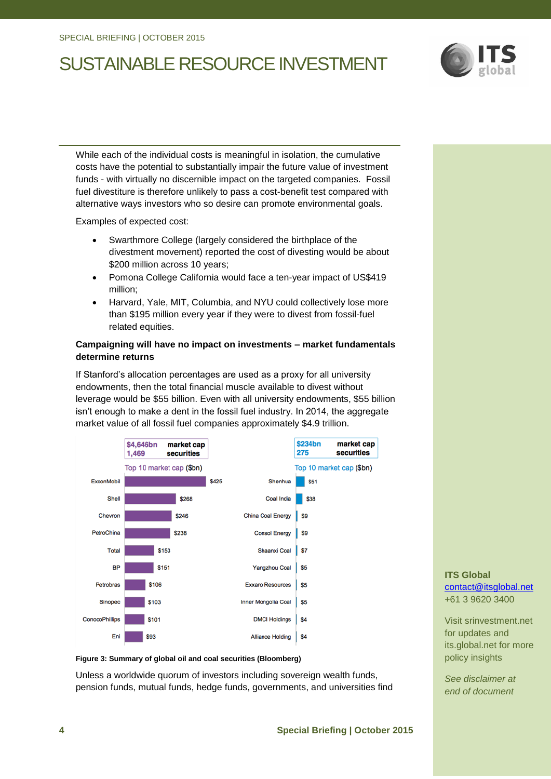

While each of the individual costs is meaningful in isolation, the cumulative costs have the potential to substantially impair the future value of investment funds - with virtually no discernible impact on the targeted companies. Fossil fuel divestiture is therefore unlikely to pass a cost-benefit test compared with alternative ways investors who so desire can promote environmental goals.

Examples of expected cost:

- Swarthmore College (largely considered the birthplace of the divestment movement) reported the cost of divesting would be about \$200 million across 10 years;
- Pomona College California would face a ten-year impact of US\$419 million;
- Harvard, Yale, MIT, Columbia, and NYU could collectively lose more than \$195 million every year if they were to divest from fossil-fuel related equities.

### **Campaigning will have no impact on investments – market fundamentals determine returns**

If Stanford's allocation percentages are used as a proxy for all university endowments, then the total financial muscle available to divest without leverage would be \$55 billion. Even with all university endowments, \$55 billion isn't enough to make a dent in the fossil fuel industry. In 2014, the aggregate market value of all fossil fuel companies approximately \$4.9 trillion.



#### **Figure 3: Summary of global oil and coal securities (Bloomberg)**

Unless a worldwide quorum of investors including sovereign wealth funds, pension funds, mutual funds, hedge funds, governments, and universities find

### **ITS Global** [contact@itsglobal.net](mailto:contact@itsglobal.net) +61 3 9620 3400

Visit srinvestment.net for updates and its.global.net for more policy insights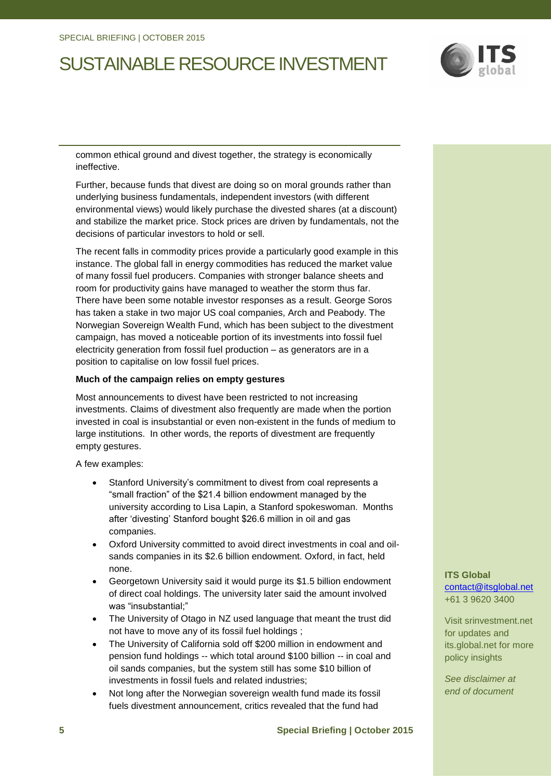

common ethical ground and divest together, the strategy is economically ineffective.

Further, because funds that divest are doing so on moral grounds rather than underlying business fundamentals, independent investors (with different environmental views) would likely purchase the divested shares (at a discount) and stabilize the market price. Stock prices are driven by fundamentals, not the decisions of particular investors to hold or sell.

The recent falls in commodity prices provide a particularly good example in this instance. The global fall in energy commodities has reduced the market value of many fossil fuel producers. Companies with stronger balance sheets and room for productivity gains have managed to weather the storm thus far. There have been some notable investor responses as a result. George Soros has taken a stake in two major US coal companies, Arch and Peabody. The Norwegian Sovereign Wealth Fund, which has been subject to the divestment campaign, has moved a noticeable portion of its investments into fossil fuel electricity generation from fossil fuel production – as generators are in a position to capitalise on low fossil fuel prices.

### **Much of the campaign relies on empty gestures**

Most announcements to divest have been restricted to not increasing investments. Claims of divestment also frequently are made when the portion invested in coal is insubstantial or even non-existent in the funds of medium to large institutions. In other words, the reports of divestment are frequently empty gestures.

A few examples:

- Stanford University's commitment to divest from coal represents a "small fraction" of the \$21.4 billion endowment managed by the university according to Lisa Lapin, a Stanford spokeswoman. Months after 'divesting' Stanford bought \$26.6 million in oil and gas companies.
- Oxford University committed to avoid direct investments in coal and oilsands companies in its \$2.6 billion endowment. Oxford, in fact, held none.
- Georgetown University said it would purge its \$1.5 billion endowment of direct coal holdings. The university later said the amount involved was "insubstantial;"
- The University of Otago in NZ used language that meant the trust did not have to move any of its fossil fuel holdings ;
- The University of California sold off \$200 million in endowment and pension fund holdings -- which total around \$100 billion -- in coal and oil sands companies, but the system still has some \$10 billion of investments in fossil fuels and related industries;
- Not long after the Norwegian sovereign wealth fund made its fossil fuels divestment announcement, critics revealed that the fund had

**ITS Global** [contact@itsglobal.net](mailto:contact@itsglobal.net) +61 3 9620 3400

Visit srinvestment.net for updates and its.global.net for more policy insights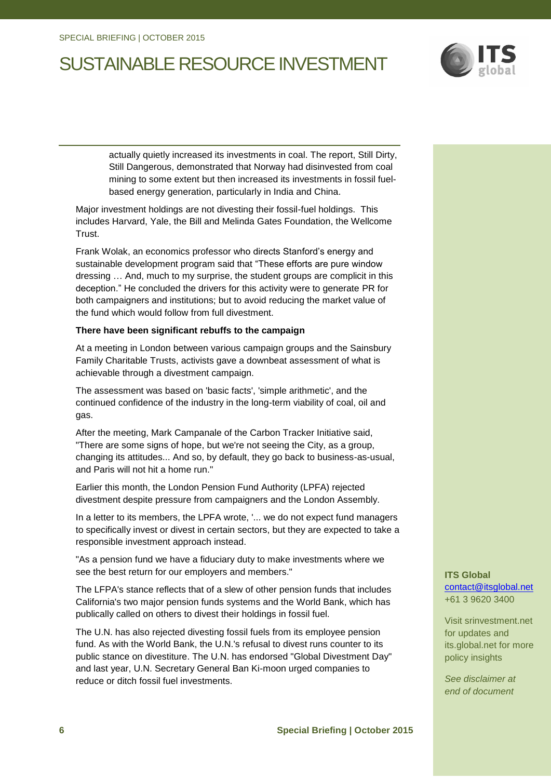

actually quietly increased its investments in coal. The report, Still Dirty, Still Dangerous, demonstrated that Norway had disinvested from coal mining to some extent but then increased its investments in fossil fuelbased energy generation, particularly in India and China.

Major investment holdings are not divesting their fossil-fuel holdings. This includes Harvard, Yale, the Bill and Melinda Gates Foundation, the Wellcome Trust.

Frank Wolak, an economics professor who directs Stanford's energy and sustainable development program said that "These efforts are pure window dressing … And, much to my surprise, the student groups are complicit in this deception." He concluded the drivers for this activity were to generate PR for both campaigners and institutions; but to avoid reducing the market value of the fund which would follow from full divestment.

### **There have been significant rebuffs to the campaign**

At a meeting in London between various campaign groups and the Sainsbury Family Charitable Trusts, activists gave a downbeat assessment of what is achievable through a divestment campaign.

The assessment was based on 'basic facts', 'simple arithmetic', and the continued confidence of the industry in the long-term viability of coal, oil and gas.

After the meeting, Mark Campanale of the Carbon Tracker Initiative said, "There are some signs of hope, but we're not seeing the City, as a group, changing its attitudes... And so, by default, they go back to business-as-usual, and Paris will not hit a home run."

Earlier this month, the London Pension Fund Authority (LPFA) rejected divestment despite pressure from campaigners and the London Assembly.

In a letter to its members, the LPFA wrote, '... we do not expect fund managers to specifically invest or divest in certain sectors, but they are expected to take a responsible investment approach instead.

"As a pension fund we have a fiduciary duty to make investments where we see the best return for our employers and members."

The LFPA's stance reflects that of a slew of other pension funds that includes California's two major pension funds systems and the World Bank, which has publically called on others to divest their holdings in fossil fuel.

The U.N. has also rejected divesting fossil fuels from its employee pension fund. As with the World Bank, the U.N.'s refusal to divest runs counter to its public stance on divestiture. The U.N. has endorsed "Global Divestment Day" and last year, U.N. Secretary General Ban Ki-moon urged companies to reduce or ditch fossil fuel investments.

**ITS Global** [contact@itsglobal.net](mailto:contact@itsglobal.net) +61 3 9620 3400

Visit srinvestment.net for updates and its.global.net for more policy insights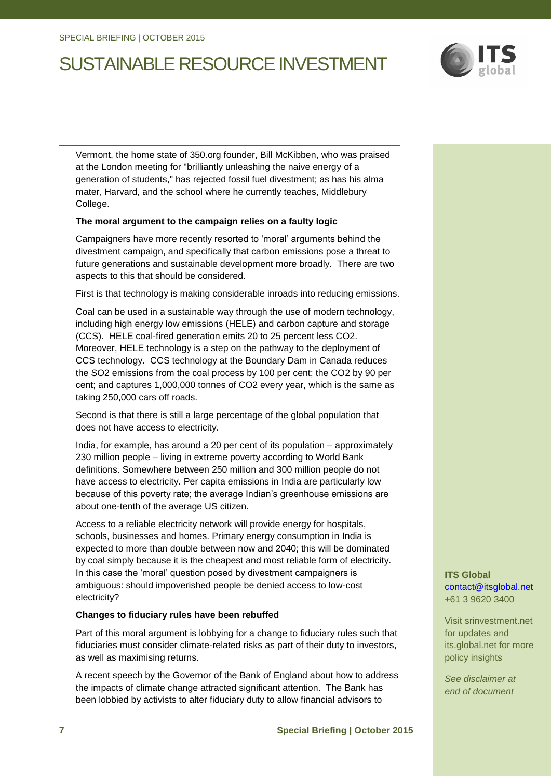

Vermont, the home state of 350.org founder, Bill McKibben, who was praised at the London meeting for "brilliantly unleashing the naive energy of a generation of students," has rejected fossil fuel divestment; as has his alma mater, Harvard, and the school where he currently teaches, Middlebury College.

### **The moral argument to the campaign relies on a faulty logic**

Campaigners have more recently resorted to 'moral' arguments behind the divestment campaign, and specifically that carbon emissions pose a threat to future generations and sustainable development more broadly. There are two aspects to this that should be considered.

First is that technology is making considerable inroads into reducing emissions.

Coal can be used in a sustainable way through the use of modern technology, including high energy low emissions (HELE) and carbon capture and storage (CCS). HELE coal-fired generation emits 20 to 25 percent less CO2. Moreover, HELE technology is a step on the pathway to the deployment of CCS technology. CCS technology at the Boundary Dam in Canada reduces the SO2 emissions from the coal process by 100 per cent; the CO2 by 90 per cent; and captures 1,000,000 tonnes of CO2 every year, which is the same as taking 250,000 cars off roads.

Second is that there is still a large percentage of the global population that does not have access to electricity.

India, for example, has around a 20 per cent of its population – approximately 230 million people – living in extreme poverty according to World Bank definitions. Somewhere between 250 million and 300 million people do not have access to electricity. Per capita emissions in India are particularly low because of this poverty rate; the average Indian's greenhouse emissions are about one-tenth of the average US citizen.

Access to a reliable electricity network will provide energy for hospitals, schools, businesses and homes. Primary energy consumption in India is expected to more than double between now and 2040; this will be dominated by coal simply because it is the cheapest and most reliable form of electricity. In this case the 'moral' question posed by divestment campaigners is ambiguous: should impoverished people be denied access to low-cost electricity?

### **Changes to fiduciary rules have been rebuffed**

Part of this moral argument is lobbying for a change to fiduciary rules such that fiduciaries must consider climate-related risks as part of their duty to investors, as well as maximising returns.

A recent speech by the Governor of the Bank of England about how to address the impacts of climate change attracted significant attention. The Bank has been lobbied by activists to alter fiduciary duty to allow financial advisors to

**ITS Global** [contact@itsglobal.net](mailto:contact@itsglobal.net) +61 3 9620 3400

Visit srinvestment.net for updates and its.global.net for more policy insights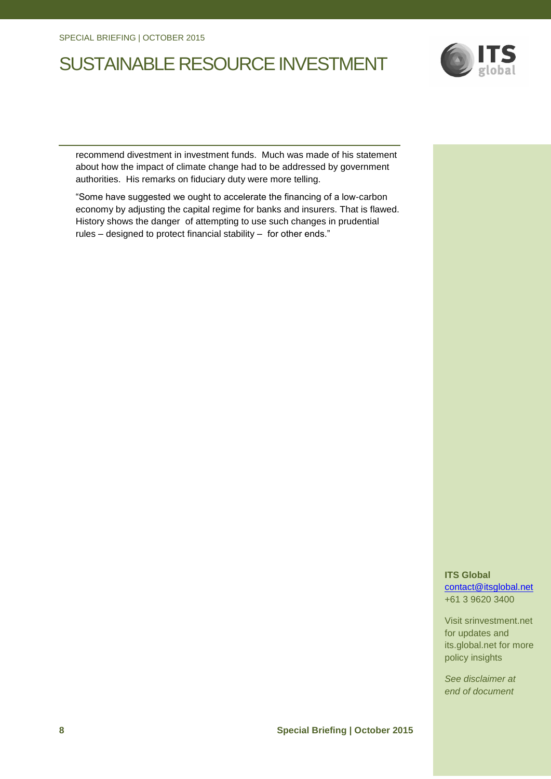

recommend divestment in investment funds. Much was made of his statement about how the impact of climate change had to be addressed by government authorities. His remarks on fiduciary duty were more telling.

"Some have suggested we ought to accelerate the financing of a low-carbon economy by adjusting the capital regime for banks and insurers. That is flawed. History shows the danger of attempting to use such changes in prudential rules – designed to protect financial stability – for other ends."

> **ITS Global** [contact@itsglobal.net](mailto:contact@itsglobal.net) +61 3 9620 3400

Visit srinvestment.net for updates and its.global.net for more policy insights